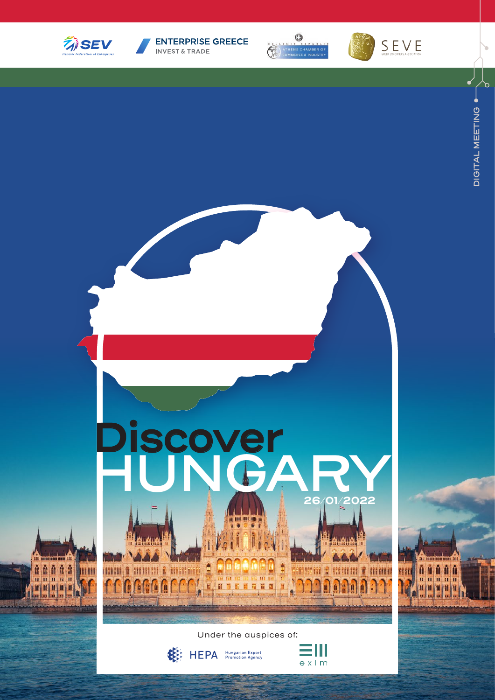

**ENTERPRISE GREECE** INVEST & TRADE







 $\mathbf{r}$